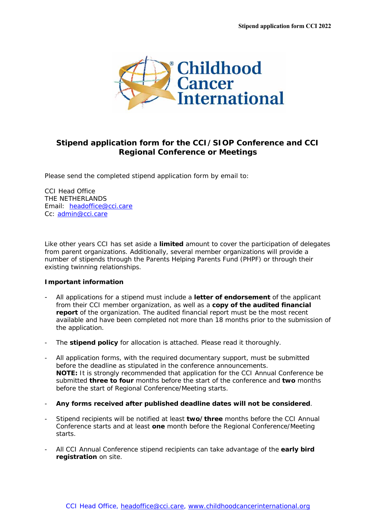

## **Stipend application form for the CCI/SIOP Conference and CCI Regional Conference or Meetings**

Please send the completed stipend application form by email to:

CCI Head Office THE NETHERLANDS Email: headoffice@cci.care Cc: admin@cci.care

Like other years CCI has set aside a **limited** amount to cover the participation of delegates from parent organizations. Additionally, several member organizations will provide a number of stipends through the Parents Helping Parents Fund (PHPF) or through their existing twinning relationships.

## **Important information**

- All applications for a stipend must include a **letter of endorsement** of the applicant from their CCI member organization, as well as a **copy of the audited financial report** of the organization. The audited financial report must be the most recent available and have been completed not more than 18 months prior to the submission of the application.
- The **stipend policy** for allocation is attached. Please read it thoroughly.
- All application forms, with the required documentary support, must be submitted before the deadline as stipulated in the conference announcements. **NOTE:** It is strongly recommended that application for the CCI Annual Conference be submitted **three to four** months before the start of the conference and **two** months before the start of Regional Conference/Meeting starts.
- **Any forms received after published deadline dates will not be considered**.
- Stipend recipients will be notified at least **two/three** months before the CCI Annual Conference starts and at least **one** month before the Regional Conference/Meeting starts.
- All CCI Annual Conference stipend recipients can take advantage of the **early bird registration** on site.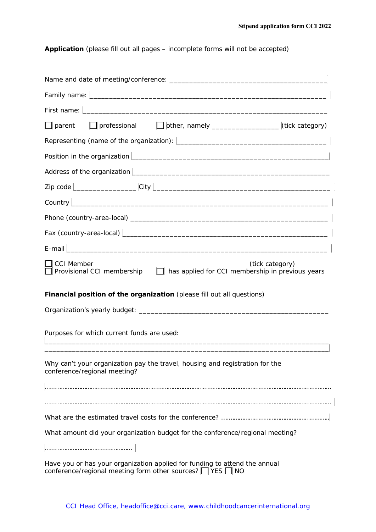**Application** (please fill out all pages – incomplete forms will not be accepted)

| Family name: <u>December 2008 and 2009</u> and 2009 and 2009 and 2009 and 2009 and 2009 and 2009 and 2009 and 2009 and 2009 and 2009 and 2009 and 2009 and 2009 and 2009 and 2009 and 2009 and 2009 and 2009 and 2009 and 2009 and                                                          |
|---------------------------------------------------------------------------------------------------------------------------------------------------------------------------------------------------------------------------------------------------------------------------------------------|
| First name: <u>December 2008 and 2008 and 2008 and 2008 and 2008 and 2008 and 2008 and 2008 and 2008 and 2008 and 2008 and 2008 and 2008 and 2008 and 2008 and 2008 and 2008 and 2008 and 2008 and 2008 and 2008 and 2008 and 20</u>                                                        |
| □ parent □ professional □ other, namely <u>  _ _ _ _ _ _ _ _</u> (tick category)                                                                                                                                                                                                            |
|                                                                                                                                                                                                                                                                                             |
| Position in the organization <u>Decomponent Community of the set of the set of the set of the set of the set of the set of the set of the set of the set of the set of the set of the set of the set of the set of the set of th</u>                                                        |
| Address of the organization   <b>Conservation</b>   <b>Conservation</b>   <b>Conservation</b>   <b>Conservation</b>   <b>Conservation</b>   <b>Conservation</b>   <b>Conservation</b>   <b>Conservation</b>   <b>Conservation</b>   <b>Conservation</b>   <b>Conservation</b>   <b>Cons</b> |
|                                                                                                                                                                                                                                                                                             |
|                                                                                                                                                                                                                                                                                             |
|                                                                                                                                                                                                                                                                                             |
| Fax (country-area-local) entries and the contract of the contract of the contract of the contract of the contract of the contract of the contract of the contract of the contract of the contract of the contract of the contr                                                              |
|                                                                                                                                                                                                                                                                                             |
| <b>CCI Member</b><br>(tick category)<br>Provisional CCI membership $\Box$ has applied for CCI membership in previous years                                                                                                                                                                  |
| Financial position of the organization (please fill out all questions)                                                                                                                                                                                                                      |
|                                                                                                                                                                                                                                                                                             |
| Purposes for which current funds are used:                                                                                                                                                                                                                                                  |
| Why can't your organization pay the travel, housing and registration for the<br>conference/regional meeting?                                                                                                                                                                                |
|                                                                                                                                                                                                                                                                                             |
| What amount did your organization budget for the conference/regional meeting?                                                                                                                                                                                                               |
| Have you or has your organization applied for funding to attend the annual                                                                                                                                                                                                                  |

conference/regional meeting form other sources?  $\Box$  YES  $\Box$  NO